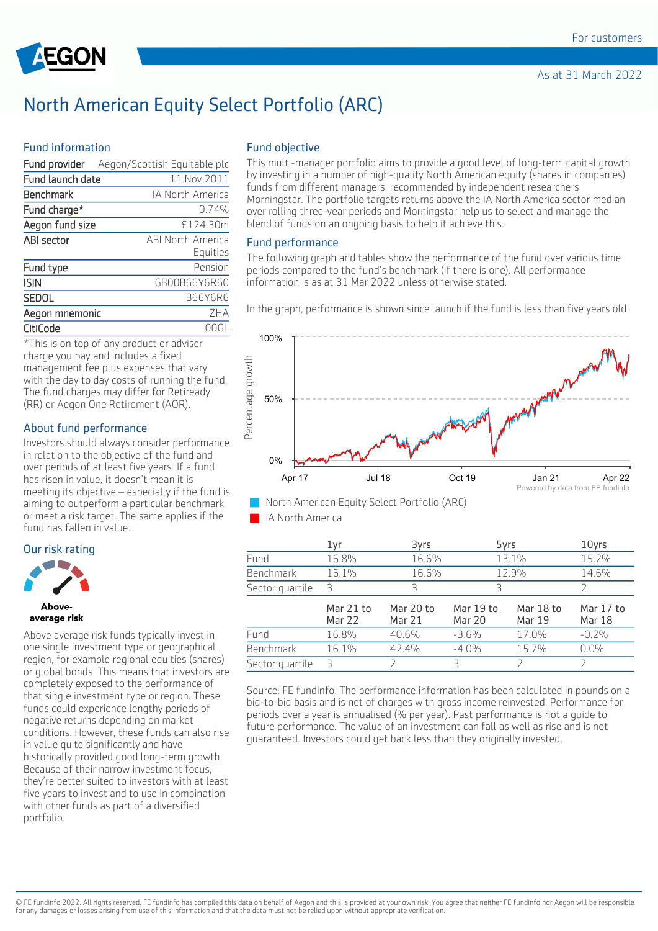

# North American Equity Select Portfolio (ARC)

### Fund information

|                  | Fund provider Aegon/Scottish Equitable plc |
|------------------|--------------------------------------------|
| Fund launch date | 11 Nov 2011                                |
| Benchmark        | <b>IA North America</b>                    |
| Fund charge*     | 0.74%                                      |
| Aegon fund size  | £124.30m                                   |
| ABI sector       | ABI North America                          |
|                  | Equities                                   |
| Fund type        | Pension                                    |
| <b>ISIN</b>      | GB00B66Y6R60                               |
| SEDOL            | <b>B66Y6R6</b>                             |
| Aegon mnemonic   | 7HA                                        |
| CitiCode         | ( )()                                      |

\*This is on top of any product or adviser charge you pay and includes a fixed management fee plus expenses that vary with the day to day costs of running the fund. The fund charges may differ for Retiready (RR) or Aegon One Retirement (AOR).

# About fund performance

Investors should always consider performance in relation to the objective of the fund and over periods of at least five years. If a fund has risen in value, it doesn't mean it is meeting its objective – especially if the fund is aiming to outperform a particular benchmark or meet a risk target. The same applies if the fund has fallen in value.

#### Our risk rating





Above average risk funds typically invest in one single investment type or geographical region, for example regional equities (shares) or global bonds. This means that investors are completely exposed to the performance of that single investment type or region. These funds could experience lengthy periods of negative returns depending on market conditions. However, these funds can also rise in value quite significantly and have historically provided good long-term growth. Because of their narrow investment focus, they're better suited to investors with at least five years to invest and to use in combination with other funds as part of a diversified portfolio.

#### Fund objective

This multi-manager portfolio aims to provide a good level of long-term capital growth by investing in a number of high-quality North American equity (shares in companies) funds from different managers, recommended by independent researchers Morningstar. The portfolio targets returns above the IA North America sector median over rolling three-year periods and Morningstar help us to select and manage the blend of funds on an ongoing basis to help it achieve this.

#### Fund performance

The following graph and tables show the performance of the fund over various time periods compared to the fund's benchmark (if there is one). All performance information is as at 31 Mar 2022 unless otherwise stated.

In the graph, performance is shown since launch if the fund is less than five years old.



IA North America

|                  | 1yr                 | 3yrs                | 5yrs                       |                     | 10yrs                      |
|------------------|---------------------|---------------------|----------------------------|---------------------|----------------------------|
| Fund             | 16.8%               | 16.6%               |                            | 13.1%               | 15.2%                      |
| <b>Benchmark</b> | 16.1%               | 16.6%               |                            | 12.9%               | 14.6%                      |
| Sector quartile  | R                   |                     | 3                          |                     |                            |
|                  | Mar 21 to<br>Mar 22 | Mar 20 to<br>Mar 21 | Mar 19 to<br><b>Mar 20</b> | Mar 18 to<br>Mar 19 | Mar 17 to<br><b>Mar 18</b> |
| Fund             | 16.8%               | 40.6%               | $-3.6%$                    | 17.0%               | $-0.2%$                    |
| <b>Benchmark</b> | 16.1%               | 42.4%               | $-4.0%$                    | 15.7%               | $0.0\%$                    |
| Sector quartile  | Ρ                   |                     | Β                          |                     |                            |

Source: FE fundinfo. The performance information has been calculated in pounds on a bid-to-bid basis and is net of charges with gross income reinvested. Performance for periods over a year is annualised (% per year). Past performance is not a guide to future performance. The value of an investment can fall as well as rise and is not guaranteed. Investors could get back less than they originally invested.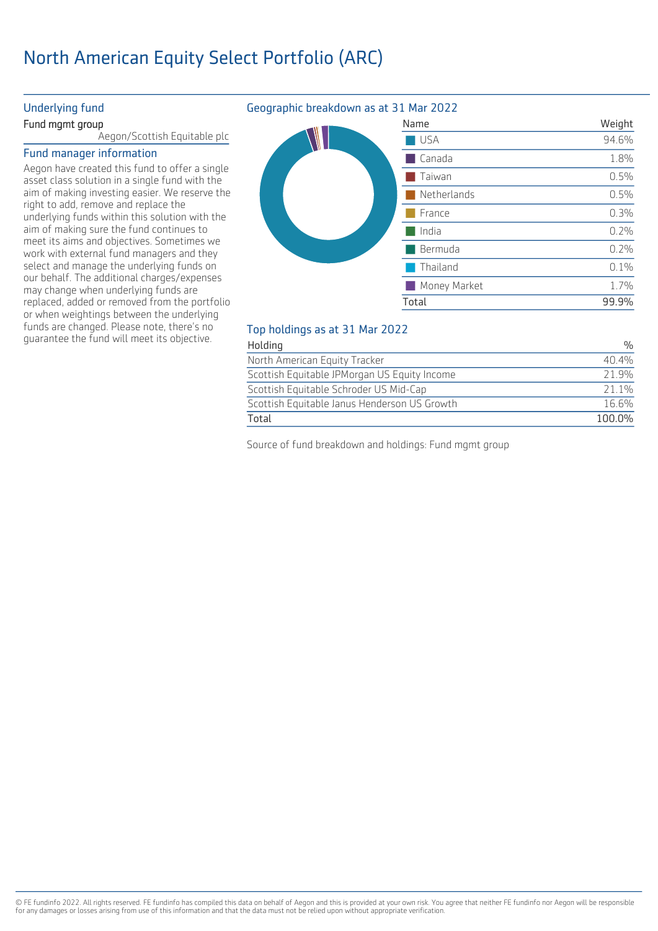# North American Equity Select Portfolio (ARC)

### Underlying fund

#### Fund mgmt group

Aegon/Scottish Equitable plc

#### Fund manager information

Aegon have created this fund to offer a single asset class solution in a single fund with the aim of making investing easier. We reserve the right to add, remove and replace the underlying funds within this solution with the aim of making sure the fund continues to meet its aims and objectives. Sometimes we work with external fund managers and they select and manage the underlying funds on our behalf. The additional charges/expenses may change when underlying funds are replaced, added or removed from the portfolio or when weightings between the underlying funds are changed. Please note, there's no guarantee the fund will meet its objective.

# Geographic breakdown as at 31 Mar 2022

| Name         | Weight |
|--------------|--------|
| <b>USA</b>   | 94.6%  |
| Canada       | 1.8%   |
| Taiwan       | 0.5%   |
| Netherlands  | 0.5%   |
| France       | 0.3%   |
| India        | 0.2%   |
| Bermuda      | 0.2%   |
| Thailand     | 0.1%   |
| Money Market | 1.7%   |
| Total        | 99.9%  |
|              |        |

# Top holdings as at 31 Mar 2022

| Total                                        | 100.0% |
|----------------------------------------------|--------|
| Scottish Equitable Janus Henderson US Growth | 16.6%  |
| Scottish Equitable Schroder US Mid-Cap       | 21 1%  |
| Scottish Equitable JPMorgan US Equity Income | 21.9%  |
| North American Equity Tracker                | 40.4%  |
| Holding                                      | 0/2    |

Source of fund breakdown and holdings: Fund mgmt group